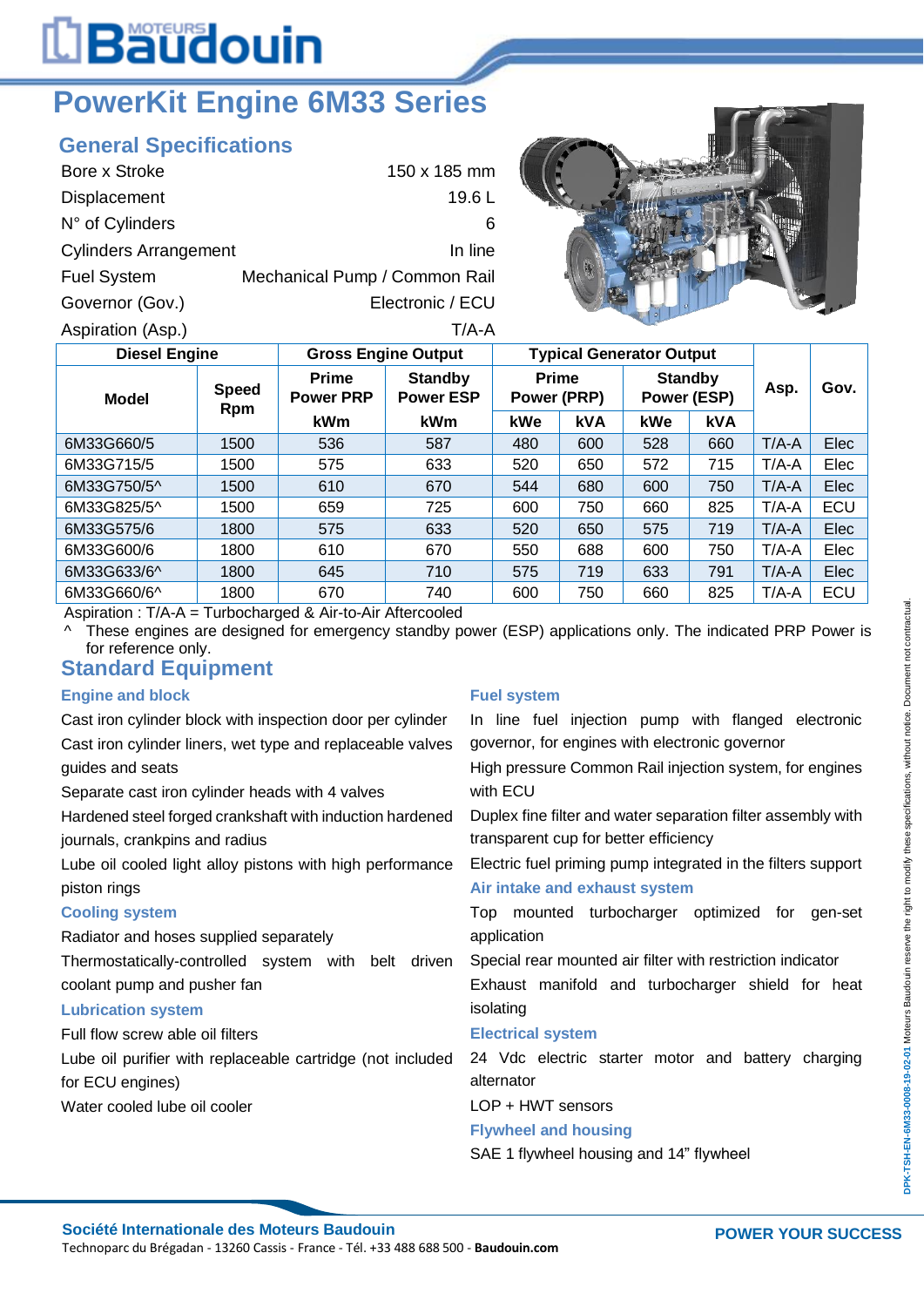# L**Bäudouin**

## **PowerKit Engine 6M33 Series**

#### **General Specifications**

| Bore x Stroke                | 150 x 185 mm                  |
|------------------------------|-------------------------------|
| Displacement                 | 19.6L                         |
| N° of Cylinders              | 6                             |
| <b>Cylinders Arrangement</b> | In line                       |
| <b>Fuel System</b>           | Mechanical Pump / Common Rail |
| Governor (Gov.)              | Electronic / ECU              |
| Aspiration (Asp.)            | T/A-A                         |



| <b>Diesel Engine</b> |                            | <b>Gross Engine Output</b>       |                                    | <b>Typical Generator Output</b> |            |                               |            |         |      |
|----------------------|----------------------------|----------------------------------|------------------------------------|---------------------------------|------------|-------------------------------|------------|---------|------|
| <b>Model</b>         | <b>Speed</b><br><b>Rpm</b> | <b>Prime</b><br><b>Power PRP</b> | <b>Standby</b><br><b>Power ESP</b> | <b>Prime</b><br>Power (PRP)     |            | <b>Standby</b><br>Power (ESP) |            | Asp.    | Gov. |
|                      |                            | <b>kWm</b>                       | <b>kWm</b>                         | kWe                             | <b>kVA</b> | kWe                           | <b>kVA</b> |         |      |
| 6M33G660/5           | 1500                       | 536                              | 587                                | 480                             | 600        | 528                           | 660        | $T/A-A$ | Elec |
| 6M33G715/5           | 1500                       | 575                              | 633                                | 520                             | 650        | 572                           | 715        | $T/A-A$ | Elec |
| 6M33G750/5^          | 1500                       | 610                              | 670                                | 544                             | 680        | 600                           | 750        | $T/A-A$ | Elec |
| 6M33G825/5^          | 1500                       | 659                              | 725                                | 600                             | 750        | 660                           | 825        | $T/A-A$ | ECU  |
| 6M33G575/6           | 1800                       | 575                              | 633                                | 520                             | 650        | 575                           | 719        | $T/A-A$ | Elec |
| 6M33G600/6           | 1800                       | 610                              | 670                                | 550                             | 688        | 600                           | 750        | $T/A-A$ | Elec |
| 6M33G633/6^          | 1800                       | 645                              | 710                                | 575                             | 719        | 633                           | 791        | $T/A-A$ | Elec |
| 6M33G660/6^          | 1800                       | 670                              | 740                                | 600                             | 750        | 660                           | 825        | $T/A-A$ | ECU  |

Aspiration : T/A-A = Turbocharged & Air-to-Air Aftercooled

^ These engines are designed for emergency standby power (ESP) applications only. The indicated PRP Power is for reference only.

#### **Standard Equipment**

#### **Engine and block**

Cast iron cylinder block with inspection door per cylinder Cast iron cylinder liners, wet type and replaceable valves guides and seats

Separate cast iron cylinder heads with 4 valves

Hardened steel forged crankshaft with induction hardened journals, crankpins and radius

Lube oil cooled light alloy pistons with high performance piston rings

#### **Cooling system**

Radiator and hoses supplied separately

Thermostatically-controlled system with belt driven coolant pump and pusher fan

#### **Lubrication system**

Full flow screw able oil filters

Lube oil purifier with replaceable cartridge (not included for ECU engines) Water cooled lube oil cooler

#### **Fuel system**

In line fuel injection pump with flanged electronic governor, for engines with electronic governor

High pressure Common Rail injection system, for engines with ECU

Duplex fine filter and water separation filter assembly with transparent cup for better efficiency

Electric fuel priming pump integrated in the filters support

#### **Air intake and exhaust system**

Top mounted turbocharger optimized for gen-set application

Special rear mounted air filter with restriction indicator

Exhaust manifold and turbocharger shield for heat isolating

#### **Electrical system**

24 Vdc electric starter motor and battery charging alternator

LOP + HWT sensors

#### **Flywheel and housing**

SAE 1 flywheel housing and 14" flywheel